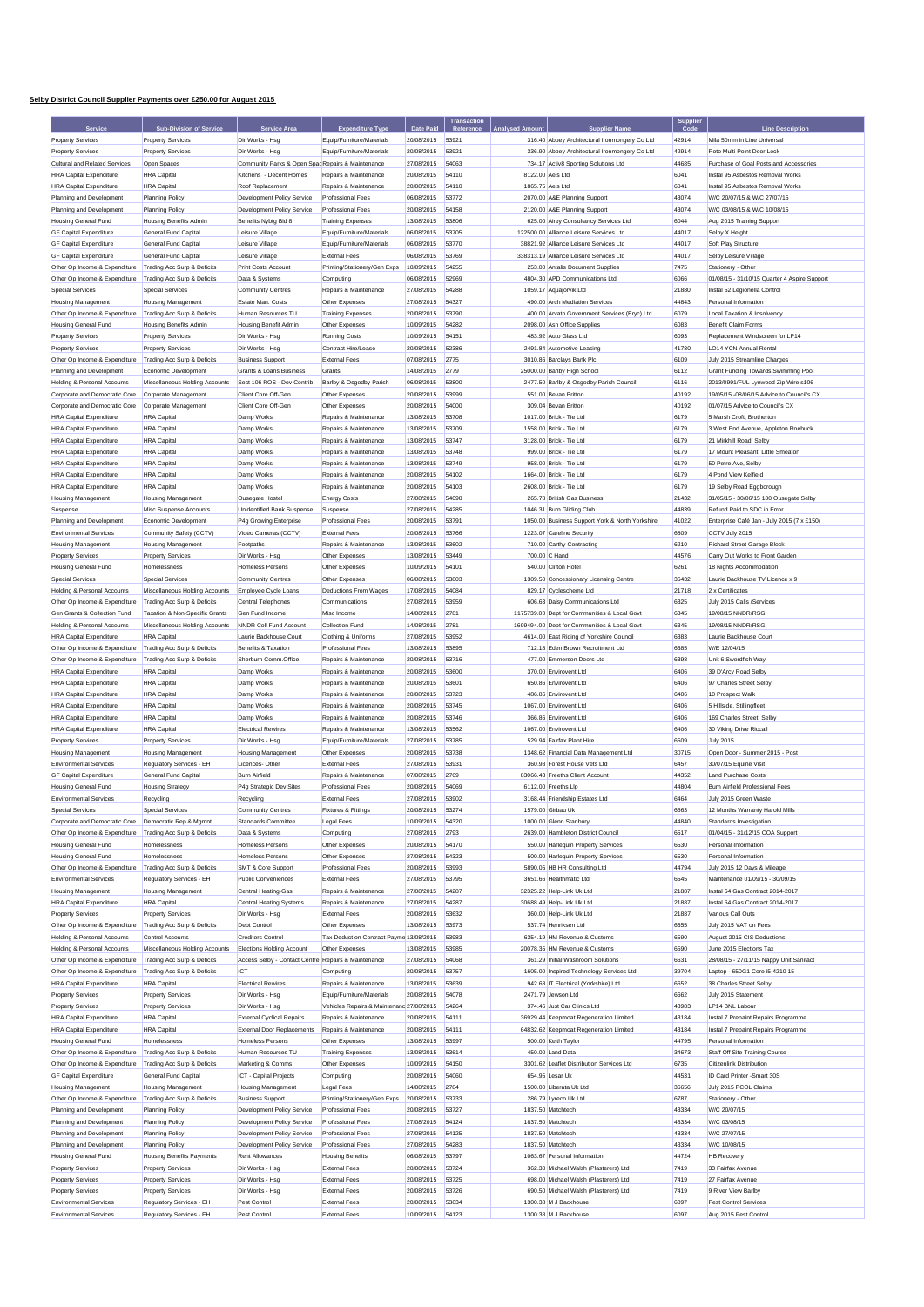## **Selby District Council Supplier Payments over £250.00 for August 2015**

|                                |                                  |                                                   |                                          |                  | <b>Transaction</b> |                        |                                                 | <b>Supplier</b> |                                              |
|--------------------------------|----------------------------------|---------------------------------------------------|------------------------------------------|------------------|--------------------|------------------------|-------------------------------------------------|-----------------|----------------------------------------------|
| Service                        | <b>Sub-Division of Service</b>   | Service Area                                      | <b>Expenditure Type</b>                  | <b>Date Paid</b> | Reference          | <b>Analysed Amount</b> | <b>Supplier Name</b>                            | Code            | <b>Line Description</b>                      |
| <b>Property Services</b>       | <b>Property Services</b>         | Dir Works - Hsa                                   | Equip/Furniture/Materials                | 20/08/2015       | 53921              |                        | 316.40 Abbey Architectural Ironmongery Co Ltd   | 42914           | Mila 50mm in Line Universal                  |
| <b>Property Services</b>       | <b>Property Services</b>         | Dir Works - Hsg                                   | Equip/Furniture/Materials                | 20/08/2015       | 53921              |                        | 336.90 Abbey Architectural Ironmongery Co Ltd   | 42914           | Roto Multi Point Door Lock                   |
| Cultural and Related Services  | Open Spaces                      | Community Parks & Open Spac Repairs & Maintenance |                                          | 27/08/2015       | 54063              |                        | 734.17 Activ8 Sporting Solutions Ltd            | 44685           | Purchase of Goal Posts and Accessories       |
| <b>HRA Capital Expenditure</b> | <b>HRA</b> Capital               | Kitchens - Decent Homes                           | Repairs & Maintenance                    | 20/08/2015       | 54110              | 8122.00 Aels Ltd       |                                                 | 6041            | Instal 95 Asbestos Removal Works             |
| <b>HRA Capital Expenditure</b> | <b>HRA</b> Capital               | Roof Replacement                                  | Repairs & Maintenance                    | 20/08/2015       | 54110              | 1865.75 Aels Ltd       |                                                 | 6041            | Instal 95 Asbestos Removal Works             |
| Planning and Development       | <b>Planning Policy</b>           | Development Policy Service                        | <b>Professional Fees</b>                 | 06/08/2015       | 53772              |                        | 2070.00 A&E Planning Support                    | 43074           | W/C 20/07/15 & W/C 27/07/15                  |
|                                | <b>Planning Policy</b>           |                                                   |                                          |                  |                    |                        | 2120.00 A&E Planning Support                    |                 |                                              |
| Planning and Development       |                                  | Development Policy Service                        | Professional Fees                        | 20/08/2015       | 54158              |                        |                                                 | 43074           | W/C 03/08/15 & W/C 10/08/15                  |
| <b>Housing General Fund</b>    | <b>Housing Benefits Admin</b>    | Benefits Nybtg Bid 8                              | <b>Training Expenses</b>                 | 13/08/2015       | 53806              |                        | 625.00 Airey Consultancy Services Ltd           | 6044            | Aug 2015 Training Support                    |
| <b>GF Capital Expenditure</b>  | General Fund Capita              | Leisure Village                                   | Equip/Furniture/Materials                | 06/08/2015       | 53705              |                        | 122500.00 Alliance Leisure Services Ltd         | 44017           | Selby X Height                               |
| <b>GF Capital Expenditure</b>  | General Fund Capital             | Leisure Village                                   | Equip/Furniture/Materials                | 06/08/2015       | 53770              |                        | 38821.92 Alliance Leisure Services Ltd          | 44017           | Soft Play Structure                          |
| <b>GF Capital Expenditure</b>  | General Fund Capital             | Leisure Village                                   | <b>External Fees</b>                     | 06/08/2015       | 53769              |                        | 338313.19 Alliance Leisure Services Ltd         | 44017           | Selby Leisure Village                        |
| Other Op Income & Expenditure  | Trading Acc Surp & Deficits      | Print Costs Account                               | Printing/Stationery/Gen Exps             | 10/09/2015       | 54255              |                        | 253.00 Antalis Document Supplies                | 7475            | Stationery - Other                           |
| Other Op Income & Expenditure  | Trading Acc Surp & Deficits      | Data & Systems                                    | Computing                                | 06/08/2015       | 52969              |                        | 4804.30 APD Communications Ltd                  | 6066            | 01/08/15 - 31/10/15 Quarter 4 Aspire Support |
| Special Services               | <b>Special Services</b>          | <b>Community Centres</b>                          | Repairs & Maintenance                    | 27/08/2015       | 54288              |                        | 1059.17 Aquajorvik Ltd                          | 21880           | Instal 52 Legionella Control                 |
| <b>Housing Management</b>      | <b>Housing Management</b>        | Estate Man. Costs                                 | Other Expenses                           | 27/08/2015       | 54327              |                        | 490.00 Arch Mediation Services                  | 44843           | Personal Information                         |
| Other Op Income & Expenditure  | Trading Acc Surp & Deficits      | Human Resources TU                                | <b>Training Expenses</b>                 | 20/08/2015       | 53790              |                        | 400.00 Arvato Government Services (Eryc) Ltd    | 6079            | Local Taxation & Insolvency                  |
| <b>Housing General Fund</b>    | <b>Housing Benefits Admin</b>    | Housing Benefit Admin                             | Other Expenses                           | 10/09/2015       | 54282              |                        | 2098.00 Ash Office Supplies                     | 6083            | <b>Benefit Claim Forms</b>                   |
| <b>Property Services</b>       |                                  | Dir Works - Hsg                                   |                                          | 10/09/2015       | 54151              |                        | 483.92 Auto Glass Ltd                           | 6093            | Replacement Windscreen for LP14              |
|                                | <b>Property Services</b>         |                                                   | <b>Running Costs</b>                     |                  |                    |                        |                                                 |                 |                                              |
| <b>Property Services</b>       | <b>Property Services</b>         | Dir Works - Hsg                                   | Contract Hire/Lease                      | 20/08/2015       | 52386              |                        | 2491.84 Automotive Leasing                      | 41780           | <b>LO14 YCN Annual Renta</b>                 |
| Other Op Income & Expenditure  | Trading Acc Surp & Deficits      | <b>Business Support</b>                           | <b>External Fees</b>                     | 07/08/2015       | 2775               |                        | 3010.86 Barclays Bank Plc                       | 6109            | July 2015 Streamline Charges                 |
| Planning and Development       | Economic Development             | Grants & Loans Business                           | Grants                                   | 14/08/2015       | 2779               |                        | 25000.00 Barlby High School                     | 6112            | Grant Funding Towards Swimming Pool          |
| Holding & Personal Accounts    | Miscellaneous Holding Accounts   | Sect 106 ROS - Dev Contrib                        | Barlby & Osgodby Parish                  | 06/08/2015       | 53800              |                        | 2477.50 Barlby & Osgodby Parish Council         | 6116            | 2013/0991/FUL Lynwood Zip Wire s106          |
| Corporate and Democratic Core  | Corporate Management             | Client Core Off-Gen                               | Other Expenses                           | 20/08/2015       | 53999              |                        | 551.00 Bevan Britton                            | 40192           | 19/05/15 -08/06/15 Advice to Council's CX    |
| Corporate and Democratic Core  | Corporate Management             | Client Core Off-Gen                               | Other Expenses                           | 20/08/2015       | 54000              |                        | 309.04 Bevan Britton                            | 40192           | 01/07/15 Advice to Council's CX              |
| <b>HRA Capital Expenditure</b> | <b>HRA</b> Capital               | Damp Works                                        | Repairs & Maintenance                    | 13/08/2015       | 53708              |                        | 1017.00 Brick - Tie Ltd                         | 6179            | 5 Marsh Croft, Brotherton                    |
| <b>HRA Capital Expenditure</b> | <b>HRA</b> Capital               | Damp Works                                        | Repairs & Maintenance                    | 13/08/2015       | 53709              |                        | 1558.00 Brick - Tie Ltd                         | 6179            | 3 West End Avenue, Appleton Roebuck          |
| <b>HRA Capital Expenditure</b> | <b>HRA</b> Capital               | Damp Works                                        | Repairs & Maintenance                    | 13/08/2015       | 53747              |                        | 3128.00 Brick - Tie Ltd                         | 6179            | 21 Mirkhill Road, Selby                      |
| <b>HRA Capital Expenditure</b> | <b>HRA</b> Capital               | Damp Works                                        | Repairs & Maintenance                    | 13/08/2015       | 53748              |                        | 999.00 Brick - Tie Ltd                          | 6179            | 17 Mount Pleasant, Little Smeaton            |
| <b>HRA Capital Expenditure</b> | <b>HRA</b> Capital               | Damp Works                                        | Repairs & Maintenance                    | 13/08/2015       | 53749              |                        | 958.00 Brick - Tie Ltd                          | 6179            | 50 Petre Ave. Selby                          |
|                                |                                  |                                                   |                                          | 20/08/2015       | 54102              |                        | 1664.00 Brick - Tie Ltd                         |                 | 4 Pond View Kelfield                         |
| <b>HRA Capital Expenditure</b> | <b>HRA</b> Capital               | Damp Works                                        | Repairs & Maintenance                    |                  |                    |                        |                                                 | 6179            |                                              |
| <b>HRA Capital Expenditure</b> | <b>HRA</b> Capital               | Damp Works                                        | Repairs & Maintenance                    | 20/08/2015       | 54103              |                        | 2608.00 Brick - Tie Ltd                         | 6179            | 19 Selby Road Eggborough                     |
| <b>Housing Management</b>      | <b>Housing Management</b>        | Ousegate Hostel                                   | <b>Energy Costs</b>                      | 27/08/2015       | 54098              |                        | 265.78 British Gas Business                     | 21432           | 31/05/15 - 30/06/15 100 Ousegate Selby       |
| Suspense                       | Misc Suspense Accounts           | Unidentified Bank Suspense                        | Suspense                                 | 27/08/2015       | 54285              |                        | 1046.31 Burn Gliding Club                       | 44839           | Refund Paid to SDC in Error                  |
| Planning and Development       | Economic Development             | P4g Growing Enterprise                            | Professional Fees                        | 20/08/2015       | 53791              |                        | 1050.00 Business Support York & North Yorkshire | 41022           | Enterprise Café Jan - July 2015 (7 x £150)   |
| <b>Environmental Services</b>  | Community Safety (CCTV)          | Video Cameras (CCTV)                              | <b>External Fees</b>                     | 20/08/2015       | 53766              |                        | 1223.07 Careline Security                       | 6809            | CCTV July 2015                               |
| <b>Housing Management</b>      | <b>Housing Management</b>        | Footpaths                                         | Repairs & Maintenance                    | 13/08/2015       | 53602              |                        | 710.00 Carthy Contracting                       | 6210            | Richard Street Garage Block                  |
| <b>Property Services</b>       | <b>Property Services</b>         | Dir Works - Hsg                                   | Other Expenses                           | 13/08/2015       | 53449              | 700.00 C Hand          |                                                 | 44576           | Carry Out Works to Front Garden              |
| <b>Housing General Fund</b>    | Homelessness                     | Homeless Persons                                  | Other Expenses                           | 10/09/2015       | 54101              |                        | 540.00 Clifton Hotel                            | 6261            | 18 Nights Accommodation                      |
| Special Services               | <b>Special Services</b>          | <b>Community Centres</b>                          | Other Expenses                           | 06/08/2015       | 53803              |                        | 1309.50 Concessionary Licensing Centre          | 36432           | Laurie Backhouse TV Licence x 9              |
|                                |                                  |                                                   |                                          |                  |                    |                        |                                                 |                 |                                              |
| Holding & Personal Accounts    | Miscellaneous Holding Accounts   | Employee Cycle Loans                              | <b>Deductions From Wages</b>             | 17/08/2015       | 54084              |                        | 829.17 Cyclescheme Ltd                          | 21718           | 2 x Certificates                             |
| Other Op Income & Expenditure  | Trading Acc Surp & Deficits      | Central Telephones                                | Communications                           | 27/08/2015       | 53959              |                        | 606.63 Daisy Communications Ltd                 | 6325            | July 2015 Calls /Services                    |
| Gen Grants & Collection Fund   | Taxation & Non-Specific Grants   | Gen Fund Income                                   | Misc Income                              | 14/08/2015       | 2781               |                        | 1175739.00 Dept for Communities & Local Govt    | 6345            | 19/08/15 NNDR/RSG                            |
| Holding & Personal Accounts    | Miscellaneous Holding Accounts   | NNDR Coll Fund Account                            | <b>Collection Fund</b>                   | 14/08/2015       | 2781               |                        | 1699494.00 Dept for Communities & Local Govt    | 6345            | 19/08/15 NNDR/RSG                            |
| <b>HRA Capital Expenditure</b> | <b>HRA</b> Capital               | Laurie Backhouse Court                            | Clothing & Uniforms                      | 27/08/2015       | 53952              |                        | 4614.00 East Riding of Yorkshire Council        | 6383            | Laurie Backhouse Court                       |
| Other Op Income & Expenditure  | Trading Acc Surp & Deficits      | Benefits & Taxation                               | <b>Professional Fees</b>                 | 13/08/2015       | 53895              |                        | 712.18 Eden Brown Recruitment Ltd               | 6385            | W/E 12/04/15                                 |
| Other Op Income & Expenditure  | Trading Acc Surp & Deficits      | Sherburn Comm.Office                              | Repairs & Maintenance                    | 20/08/2015       | 53716              |                        | 477.00 Emmerson Doors Ltd                       | 6398            | Unit 6 Swordfish Way                         |
| <b>HRA Capital Expenditure</b> | <b>HRA</b> Capital               | Damp Works                                        | Repairs & Maintenance                    | 20/08/2015       | 53600              |                        | 370.00 Envirovent Ltd                           | 6406            | 39 D'Arcy Road Selby                         |
| <b>HRA Capital Expenditure</b> | <b>HRA</b> Capital               | Damp Works                                        | Repairs & Maintenance                    | 20/08/2015       | 53601              |                        | 650.86 Envirovent Ltd                           | 6406            | 97 Charles Street Selby                      |
| <b>HRA Capital Expenditure</b> | <b>HRA</b> Capital               | Damp Works                                        | Repairs & Maintenance                    | 20/08/2015       | 53723              |                        | 486.86 Envirovent Ltd                           | 6406            | 10 Prospect Walk                             |
| <b>HRA Capital Expenditure</b> | <b>HRA</b> Capital               | Damp Works                                        | Repairs & Maintenance                    | 20/08/2015       | 53745              |                        | 1067.00 Envirovent Ltd                          | 6406            | 5 Hillside, Stillingfleet                    |
| <b>HRA Capital Expenditure</b> | <b>HRA</b> Capital               | Damp Works                                        | Repairs & Maintenance                    | 20/08/2015       | 53746              |                        | 366.86 Envirovent Ltd                           | 6406            | 169 Charles Street, Selby                    |
|                                |                                  | <b>Flectrical Rewires</b>                         |                                          |                  |                    |                        |                                                 |                 |                                              |
| <b>HRA Capital Expenditure</b> | <b>HRA</b> Capital               |                                                   | Repairs & Maintenance                    | 13/08/2015       | 53562              |                        | 1067.00 Envirovent Ltd                          | 6406            | 30 Viking Drive Riccall                      |
| <b>Property Services</b>       | <b>Property Services</b>         | Dir Works - Hsg                                   | Equip/Furniture/Materials                | 27/08/2015       | 53785              |                        | 529.94 Fairfax Plant Hire                       | 6509            | <b>July 2015</b>                             |
| Housing Management             | <b>Housing Management</b>        | <b>Housing Management</b>                         | Other Expenses                           | 20/08/2015       | 53738              |                        | 1348.62 Financial Data Management Ltd           | 30715           | Open Door - Summer 2015 - Post               |
| <b>Environmental Services</b>  | Regulatory Services - EH         | Licences-Other                                    | <b>External Fees</b>                     | 27/08/2015       | 53931              |                        | 360.98 Forest House Vets Ltd                    | 6457            | 30/07/15 Equine Visit                        |
| <b>GF Capital Expenditure</b>  | General Fund Capital             | <b>Burn Airfield</b>                              | Repairs & Maintenance                    | 07/08/2015       | 2769               |                        | 83066.43 Freeths Client Account                 | 44352           | Land Purchase Costs                          |
| <b>Housing General Fund</b>    | <b>Housing Strategy</b>          | P4g Strategic Dev Sites                           | Professional Fees                        | 20/08/2015       | 54069              |                        | 6112.00 Freeths Llp                             | 44804           | Burn Airfield Professional Fees              |
| <b>Environmental Services</b>  | Recycling                        | Recycling                                         | <b>External Fees</b>                     | 27/08/2015       | 53902              |                        | 3168.44 Friendship Estates Ltd                  | 6464            | July 2015 Green Waste                        |
|                                |                                  |                                                   |                                          | 20/08/2015       |                    |                        | 1579.00 Girbau Ul                               | 6663            | I2 Months Warranty Har                       |
| Corporate and Democratic Core  | Democratic Rep & Mgmnt           | Standards Committee                               | Legal Fees                               | 10/09/2015       | 54320              |                        | 1000.00 Glenn Stanbury                          | 44840           | Standards Investigation                      |
| Other Op Income & Expenditure  | Trading Acc Surp & Deficits      | Data & Systems                                    | Computing                                | 27/08/2015       | 2793               |                        | 2639.00 Hambleton District Council              | 6517            | 01/04/15 - 31/12/15 COA Support              |
| <b>Housing General Fund</b>    | Homelessness                     | Homeless Persons                                  | Other Expenses                           | 20/08/2015       | 54170              |                        | 550.00 Harlequin Property Services              | 6530            | Personal Information                         |
| <b>Housing General Fund</b>    | Homelessness                     | <b>Homeless Persons</b>                           | Other Expenses                           | 27/08/2015       | 54323              |                        | 500.00 Harlequin Property Services              | 6530            | Personal Information                         |
|                                |                                  |                                                   |                                          |                  |                    |                        |                                                 |                 |                                              |
| Other Op Income & Expenditure  | Trading Acc Surp & Deficits      | SMT & Core Support                                | Professional Fees                        | 20/08/2015       | 53993              |                        | 5890.05 HB HR Consulting Ltd                    | 44794           | July 2015 12 Days & Mileage                  |
| <b>Environmental Services</b>  | Regulatory Services - EH         | <b>Public Conveniences</b>                        | <b>External Fees</b>                     | 27/08/2015       | 53795              |                        | 3651.66 Healthmatic Ltd                         | 6545            | Maintenance 01/09/15 - 30/09/15              |
| <b>Housing Management</b>      | <b>Housing Management</b>        | Central Heating-Gas                               | Repairs & Maintenance                    | 27/08/2015       | 54287              |                        | 32325.22 Help-Link Uk Ltd                       | 21887           | Instal 64 Gas Contract 2014-2017             |
| <b>HRA Capital Expenditure</b> | <b>HRA</b> Capital               | <b>Central Heating Systems</b>                    | Repairs & Maintenance                    | 27/08/2015       | 54287              |                        | 30688.49 Help-Link Uk Ltd                       | 21887           | Instal 64 Gas Contract 2014-2017             |
| <b>Property Services</b>       | <b>Property Services</b>         | Dir Works - Hsg                                   | <b>External Fees</b>                     | 20/08/2015       | 53632              |                        | 360.00 Help-Link Uk Ltd                         | 21887           | Various Call Outs                            |
| Other Op Income & Expenditure  | Trading Acc Surp & Deficits      | Debt Control                                      | Other Expenses                           | 13/08/2015       | 53973              |                        | 537.74 Henriksen Ltd                            | 6555            | July 2015 VAT on Fees                        |
| Holding & Personal Accounts    | Control Accounts                 | <b>Creditors Control</b>                          | Tax Deduct on Contract Payme 13/08/2015  |                  | 53983              |                        | 6354.19 HM Revenue & Customs                    | 6590            | August 2015 CIS Deductions                   |
| Holding & Personal Accounts    | Miscellaneous Holding Accounts   | <b>Elections Holding Account</b>                  | Other Expenses                           | 13/08/2015       | 53985              |                        | 20078.35 HM Revenue & Customs                   | 6590            | June 2015 Elections Tax                      |
| Other Op Income & Expenditure  | Trading Acc Surp & Deficits      | Access Selby - Contact Centre                     | Repairs & Maintenance                    | 27/08/2015       | 54068              |                        | 361.29 Initial Washroom Solutions               | 6631            | 28/08/15 - 27/11/15 Nappy Unit Sanitact      |
| Other Op Income & Expenditure  | Trading Acc Surp & Deficits      | <b>ICT</b>                                        | Computing                                | 20/08/2015       | 53757              |                        | 1605.00 Inspired Technology Services Ltd        | 39704           | Laptop - 650G1 Core i5-4210 15               |
| <b>HRA Capital Expenditure</b> | <b>HRA Capital</b>               | <b>Electrical Rewires</b>                         | Repairs & Maintenance                    | 13/08/2015       | 53639              |                        | 942.68 IT Electrical (Yorkshire) Ltd            | 6652            | 38 Charles Street Selby                      |
| <b>Property Services</b>       | <b>Property Services</b>         | Dir Works - Hsg                                   | Equip/Furniture/Materials                | 20/08/2015       | 54078              |                        | 2471.79 Jewson Ltd                              | 6662            | July 2015 Statement                          |
| <b>Property Services</b>       | <b>Property Services</b>         | Dir Works - Hsg                                   | Vehicles Repairs & Maintenanc 27/08/2015 |                  | 54264              |                        | 374.46 Just Car Clinics Ltd                     | 43983           | LP14 BNL Labour                              |
|                                |                                  |                                                   |                                          |                  |                    |                        |                                                 |                 |                                              |
| <b>HRA Capital Expenditure</b> | <b>HRA</b> Capital               | <b>External Cyclical Repairs</b>                  | Repairs & Maintenance                    | 20/08/2015       | 54111              |                        | 36929.44 Keepmoat Regeneration Limited          | 43184           | Instal 7 Prepaint Repairs Programme          |
| <b>HRA Capital Expenditure</b> | <b>HRA Capital</b>               | <b>External Door Replacements</b>                 | Repairs & Maintenance                    | 20/08/2015       | 54111              |                        | 64832.62 Keepmoat Regeneration Limited          | 43184           | Instal 7 Prepaint Repairs Programme          |
| Housing General Fund           | Homelessness                     | Homeless Persons                                  | Other Expenses                           | 13/08/2015       | 53997              |                        | 500.00 Keith Taylor                             | 44795           | Personal Information                         |
| Other Op Income & Expenditure  | Trading Acc Surp & Deficits      | Human Resources TU                                | <b>Training Expenses</b>                 | 13/08/2015       | 53614              |                        | 450.00 Land Data                                | 34673           | Staff Off Site Training Course               |
| Other Op Income & Expenditure  | Trading Acc Surp & Deficits      | Marketing & Comms                                 | Other Expenses                           | 10/09/2015       | 54150              |                        | 3301.62 Leaflet Distribution Services Ltd       | 6735            | Citizenlink Distribution                     |
| <b>GF Capital Expenditure</b>  | General Fund Capital             | ICT - Capital Projects                            | Computing                                | 20/08/2015       | 54060              |                        | 654.95 Lesar Uk                                 | 44531           | ID Card Printer -Smart 30S                   |
| <b>Housing Management</b>      | <b>Housing Management</b>        | <b>Housing Management</b>                         | <b>Legal Fees</b>                        | 14/08/2015       | 2784               |                        | 1500.00 Liberata Uk Ltd                         | 36656           | July 2015 PCOL Claims                        |
| Other Op Income & Expenditure  | Trading Acc Surp & Deficits      | <b>Business Support</b>                           | Printing/Stationery/Gen Exps             | 20/08/2015       | 53733              |                        | 286.79 Lyreco Uk Ltd                            | 6787            | Stationery - Other                           |
| Planning and Development       | <b>Planning Policy</b>           | Development Policy Service                        | Professional Fees                        | 20/08/2015       | 53727              |                        | 1837.50 Matchtech                               | 43334           | W/C 20/07/15                                 |
| Planning and Development       | <b>Planning Policy</b>           | Development Policy Service                        | Professional Fees                        | 27/08/2015       | 54124              |                        | 1837.50 Matchtech                               | 43334           | W/C 03/08/15                                 |
| Planning and Development       | <b>Planning Policy</b>           | Development Policy Service                        | Professional Fees                        | 27/08/2015       | 54125              |                        | 1837.50 Matchtech                               | 43334           | W/C 27/07/15                                 |
| Planning and Development       | Planning Policy                  | Development Policy Service                        | Professional Fees                        | 27/08/2015       | 54283              |                        | 1837.50 Matchtech                               | 43334           | W/C 10/08/15                                 |
| <b>Housing General Fund</b>    | <b>Housing Benefits Payments</b> | Rent Allowances                                   | <b>Housing Benefits</b>                  | 06/08/2015       | 53797              |                        | 1063.67 Personal Information                    | 44724           | <b>HB Recovery</b>                           |
|                                |                                  |                                                   |                                          |                  |                    |                        |                                                 |                 |                                              |
| <b>Property Services</b>       | <b>Property Services</b>         | Dir Works - Hsg                                   | <b>External Fees</b>                     | 20/08/2015       | 53724              |                        | 362.30 Michael Walsh (Plasterers) Ltd           | 7419            | 33 Fairfax Avenue                            |
| <b>Property Services</b>       | <b>Property Services</b>         | Dir Works - Hsg                                   | <b>External Fees</b>                     | 20/08/2015       | 53725              |                        | 698.00 Michael Walsh (Plasterers) Ltd           | 7419            | 27 Fairfax Avenue                            |
| <b>Property Services</b>       | <b>Property Services</b>         | Dir Works - Hsg                                   | <b>External Fees</b>                     | 20/08/2015       | 53726              |                        | 690.50 Michael Walsh (Plasterers) Ltd           | 7419            | 9 River View Barlby                          |
| <b>Environmental Services</b>  | Regulatory Services - EH         | Pest Control                                      | <b>External Fees</b>                     | 20/08/2015       | 53634              |                        | 1300.38 M J Backhouse                           | 6097            | Pest Control Services                        |
| <b>Environmental Services</b>  | Regulatory Services - EH         | Pest Control                                      | <b>External Fees</b>                     | 10/09/2015       | 54123              |                        | 1300.38 M J Backhouse                           | 6097            | Aug 2015 Pest Control                        |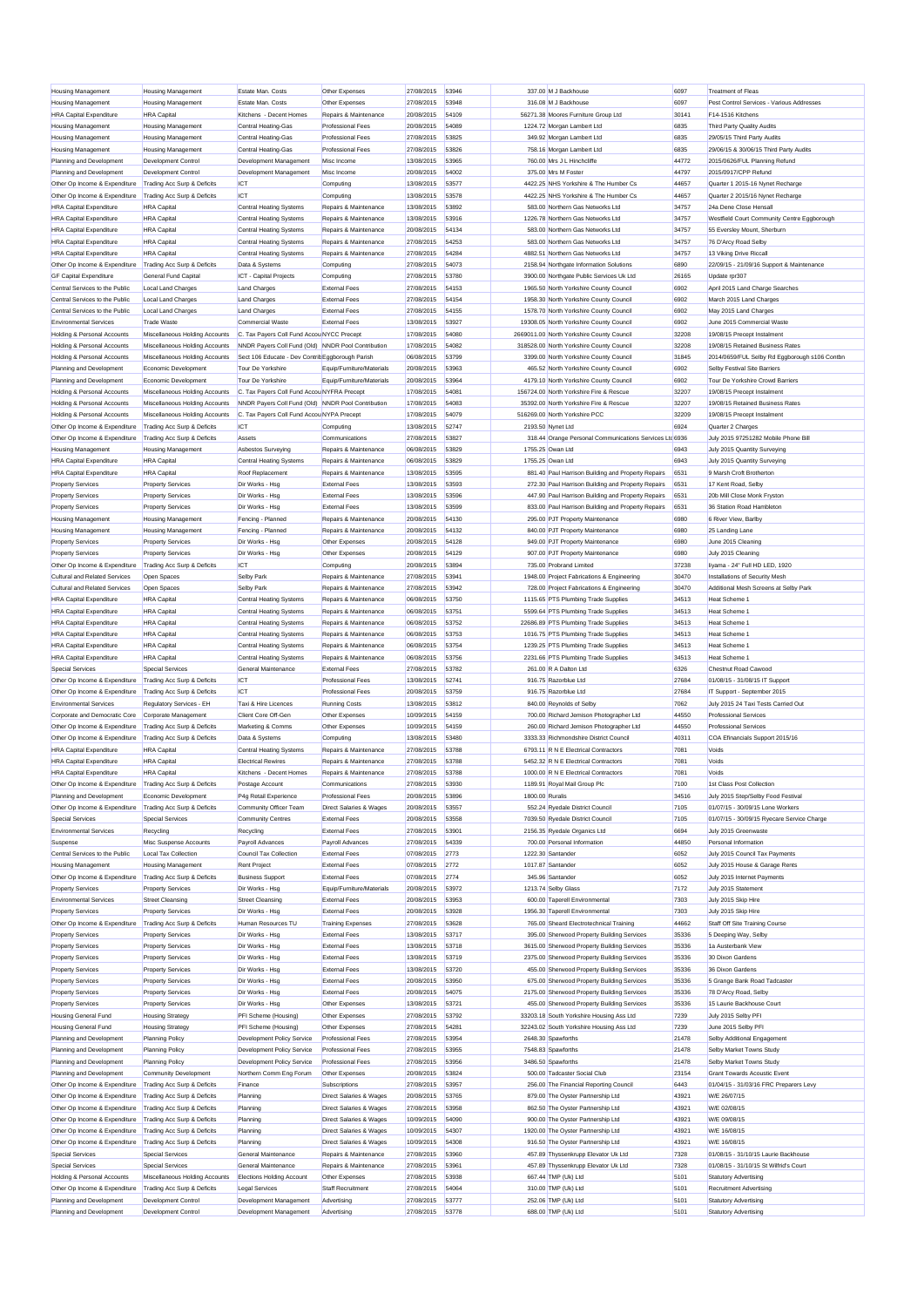|                                                        | <b>Housing Management</b>      | Estate Man, Costs                                  | Other Expenses                     | 27/08/2015 | 53946 |                   | 337.00 M J Backhouse                                    | 6097  | <b>Treatment of Fleas</b>                     |
|--------------------------------------------------------|--------------------------------|----------------------------------------------------|------------------------------------|------------|-------|-------------------|---------------------------------------------------------|-------|-----------------------------------------------|
| <b>Housing Management</b><br><b>Housing Management</b> | <b>Housing Management</b>      | Estate Man, Costs                                  | Other Expenses                     | 27/08/2015 | 53948 |                   | 316.08 M J Backhouse                                    | 6097  | Pest Control Services - Various Addresses     |
|                                                        |                                |                                                    |                                    |            | 54109 |                   |                                                         |       | F14-1516 Kitchens                             |
| <b>HRA Capital Expenditure</b>                         | <b>HRA</b> Capital             | Kitchens - Decent Homes                            | Repairs & Maintenance              | 20/08/2015 |       |                   | 56271.38 Moores Furniture Group Ltd                     | 30141 |                                               |
| <b>Housing Management</b>                              | <b>Housing Management</b>      | Central Heating-Gas                                | <b>Professional Fees</b>           | 20/08/2015 | 54089 |                   | 1224.72 Morgan Lambert Ltd                              | 6835  | Third Party Quality Audits                    |
| <b>Housing Management</b>                              | Housing Management             | Central Heating-Gas                                | <b>Professional Fees</b>           | 27/08/2015 | 53825 |                   | 349.92 Morgan Lambert Ltd                               | 6835  | 29/05/15 Third Party Audits                   |
| <b>Housing Management</b>                              | <b>Housing Management</b>      | Central Heating-Gas                                | <b>Professional Fees</b>           | 27/08/2015 | 53826 |                   | 758.16 Morgan Lambert Ltd                               | 6835  | 29/06/15 & 30/06/15 Third Party Audits        |
| Planning and Development                               | <b>Development Control</b>     | Development Management                             | Misc Income                        | 13/08/2015 | 53965 |                   | 760.00 Mrs J L Hinchcliffe                              | 44772 | 2015/0626/FUL Planning Refund                 |
| Planning and Development                               | <b>Development Control</b>     | Development Management                             | Misc Income                        | 20/08/2015 | 54002 |                   | 375.00 Mrs M Foster                                     | 44797 | 2015/0917/CPP Refund                          |
| Other On Income & Expenditure                          | Trading Acc Surp & Deficits    | <b>ICT</b>                                         | Computing                          | 13/08/2015 | 53577 |                   | 4422.25 NHS Yorkshire & The Humber Cs                   | 44657 | Quarter 1 2015-16 Nynet Recharge              |
| Other On Income & Expenditure                          |                                | ICT                                                | Computing                          | 13/08/2015 | 53578 |                   | 4422.25 NHS Yorkshire & The Humber Cs                   | 44657 | Quarter 2 2015/16 Nynet Recharge              |
|                                                        | Trading Acc Surp & Deficits    |                                                    |                                    |            |       |                   |                                                         |       |                                               |
| <b>HRA Capital Expenditure</b>                         | <b>HRA</b> Capital             | Central Heating Systems                            | Repairs & Maintenance              | 13/08/2015 | 53892 |                   | 583.00 Northern Gas Networks Ltd                        | 34757 | 24a Dene Close Hensall                        |
| <b>HRA Capital Expenditure</b>                         | <b>HRA</b> Capital             | <b>Central Heating Systems</b>                     | Repairs & Maintenance              | 13/08/2015 | 53916 |                   | 1226.78 Northern Gas Networks Ltd                       | 34757 | Westfield Court Community Centre Eggborough   |
| <b>HRA Capital Expenditure</b>                         | <b>HRA Capital</b>             | <b>Central Heating Systems</b>                     | Repairs & Maintenance              | 20/08/2015 | 54134 |                   | 583.00 Northern Gas Networks Ltd                        | 34757 | 55 Eversley Mount, Sherburn                   |
| <b>HRA Capital Expenditure</b>                         | <b>HRA Capital</b>             | <b>Central Heating Systems</b>                     | Repairs & Maintenance              | 27/08/2015 | 54253 |                   | 583.00 Northern Gas Networks Ltd                        | 34757 | 76 D'Arcy Road Selby                          |
| <b>HRA Capital Expenditure</b>                         | <b>HRA Capital</b>             | <b>Central Heating Systems</b>                     | Repairs & Maintenance              | 27/08/2015 | 54284 |                   | 4882.51 Northern Gas Networks Ltd                       | 34757 | 13 Viking Drive Riccall                       |
| Other Op Income & Expenditure                          | Trading Acc Surp & Deficits    | Data & Systems                                     | Computing                          | 27/08/2015 | 54073 |                   | 2158.94 Northgate Information Solutions                 | 6890  | 22/09/15 - 21/09/16 Support & Maintenance     |
|                                                        |                                |                                                    |                                    |            |       |                   |                                                         |       |                                               |
| <b>GF Capital Expenditure</b>                          | General Fund Capital           | ICT - Capital Projects                             | Computing                          | 27/08/2015 | 53780 |                   | 3900.00 Northgate Public Services Uk Ltd                | 26165 | Update rpr307                                 |
| Central Services to the Public                         | Local Land Charges             | Land Charges                                       | <b>External Fees</b>               | 27/08/2015 | 54153 |                   | 1965.50 North Yorkshire County Council                  | 6902  | April 2015 Land Charge Searches               |
| Central Services to the Public                         | Local Land Charges             | Land Charges                                       | <b>External Fees</b>               | 27/08/2015 | 54154 |                   | 1958.30 North Yorkshire County Council                  | 6902  | March 2015 Land Charges                       |
| Central Services to the Public                         | Local Land Charges             | Land Charges                                       | <b>External Fees</b>               | 27/08/2015 | 54155 |                   | 1578.70 North Yorkshire County Council                  | 6902  | May 2015 Land Charges                         |
| <b>Environmental Services</b>                          | <b>Trade Waste</b>             | Commercial Waste                                   | <b>External Fees</b>               | 13/08/2015 | 53927 |                   | 19308.05 North Yorkshire County Council                 | 6902  | June 2015 Commercial Waste                    |
| Holding & Personal Accounts                            | Miscellaneous Holding Accounts | C. Tax Payers Coll Fund Accou NYCC Precept         |                                    | 17/08/2015 | 54080 |                   | 2669011.00 North Yorkshire County Council               | 32208 | 19/08/15 Precept Instalment                   |
|                                                        |                                |                                                    |                                    |            |       |                   |                                                         |       |                                               |
| Holding & Personal Accounts                            | Miscellaneous Holding Accounts | NNDR Payers Coll Fund (Old) NNDR Pool Contribution |                                    | 17/08/2015 | 54082 |                   | 318528.00 North Yorkshire County Council                | 32208 | 19/08/15 Retained Business Rates              |
| Holding & Personal Accounts                            | Miscellaneous Holding Accounts | Sect 106 Educate - Dev Contrib Eggborough Parish   |                                    | 06/08/2015 | 53799 |                   | 3399.00 North Yorkshire County Council                  | 31845 | 2014/0659/FUL Selby Rd Eggborough s106 Contbn |
| Planning and Development                               | Economic Development           | Tour De Yorkshire                                  | Equip/Furniture/Materials          | 20/08/2015 | 53963 |                   | 465.52 North Yorkshire County Council                   | 6902  | Selby Festival Site Barriers                  |
| Planning and Development                               | Economic Development           | Tour De Yorkshire                                  | Equip/Furniture/Materials          | 20/08/2015 | 53964 |                   | 4179.10 North Yorkshire County Council                  | 6902  | Tour De Yorkshire Crowd Barriers              |
| Holding & Personal Accounts                            | Miscellaneous Holding Accounts | C. Tax Payers Coll Fund Accou NYFRA Precept        |                                    | 17/08/2015 | 54081 |                   | 156724.00 North Yorkshire Fire & Rescue                 | 32207 | 19/08/15 Precept Instalment                   |
| Holding & Personal Accounts                            | Miscellaneous Holding Accounts | NNDR Payers Coll Fund (Old) NNDR Pool Contribution |                                    | 17/08/2015 | 54083 |                   | 35392.00 North Yorkshire Fire & Rescue                  | 32207 | 19/08/15 Retained Business Rates              |
| Holding & Personal Accounts                            | Miscellaneous Holding Accounts | C. Tax Payers Coll Fund Accou NYPA Precept         |                                    | 17/08/2015 | 54079 |                   | 516269.00 North Yorkshire PCC                           | 32209 | 19/08/15 Precept Instalment                   |
| Other Op Income & Expenditure                          |                                |                                                    |                                    |            | 52747 | 2193.50 Nynet Ltd |                                                         | 6924  |                                               |
|                                                        | Trading Acc Surp & Deficits    | <b>ICT</b>                                         | Computing                          | 13/08/2015 |       |                   |                                                         |       | Quarter 2 Charges                             |
| Other Op Income & Expenditure                          | Trading Acc Surp & Deficits    | Assets                                             | Communications                     | 27/08/2015 | 53827 |                   | 318.44 Orange Personal Communications Services Ltd 6936 |       | July 2015 97251282 Mobile Phone Bill          |
| <b>Housing Management</b>                              | Housing Management             | Asbestos Surveying                                 | Repairs & Maintenance              | 06/08/2015 | 53829 | 1755.25 Owan Ltd  |                                                         | 6943  | July 2015 Quantity Surveying                  |
| <b>HRA Capital Expenditure</b>                         | <b>HRA</b> Capital             | <b>Central Heating Systems</b>                     | Repairs & Maintenance              | 06/08/2015 | 53829 |                   | 1755.25 Owan Ltd                                        | 6943  | July 2015 Quantity Surveying                  |
| <b>HRA Capital Expenditure</b>                         | <b>HRA Capital</b>             | Roof Replacement                                   | Repairs & Maintenance              | 13/08/2015 | 53595 |                   | 881.40 Paul Harrison Building and Property Repairs      | 6531  | 9 Marsh Croft Brotherton                      |
| <b>Property Services</b>                               | <b>Property Services</b>       | Dir Works - Hsg                                    | <b>External Fees</b>               | 13/08/2015 | 53593 |                   | 272.30 Paul Harrison Building and Property Repairs      | 6531  | 17 Kent Road, Selby                           |
|                                                        |                                |                                                    |                                    |            |       |                   |                                                         |       | 20b Mill Close Monk Fryston                   |
| <b>Property Services</b>                               | <b>Property Services</b>       | Dir Works - Hsa                                    | <b>External Fees</b>               | 13/08/2015 | 53596 |                   | 447.90 Paul Harrison Building and Property Repairs      | 6531  |                                               |
| <b>Property Services</b>                               | <b>Property Services</b>       | Dir Works - Hsa                                    | <b>External Fees</b>               | 13/08/2015 | 53599 |                   | 833.00 Paul Harrison Building and Property Repairs      | 6531  | 36 Station Road Hambleton                     |
| <b>Housing Management</b>                              | Housing Management             | Fencing - Planned                                  | Repairs & Maintenance              | 20/08/2015 | 54130 |                   | 295.00 PJT Property Maintenance                         | 6980  | 6 River View, Barlby                          |
| <b>Housing Management</b>                              | <b>Housing Management</b>      | Fencing - Planned                                  | Repairs & Maintenance              | 20/08/2015 | 54132 |                   | 840.00 PJT Property Maintenance                         | 6980  | 25 Landing Lane                               |
| <b>Property Services</b>                               | <b>Property Services</b>       | Dir Works - Hsg                                    | Other Expenses                     | 20/08/2015 | 54128 |                   | 949.00 PJT Property Maintenance                         | 6980  | June 2015 Cleaning                            |
| <b>Property Services</b>                               | <b>Property Services</b>       | Dir Works - Hsg                                    | Other Expenses                     | 20/08/2015 | 54129 |                   | 907.00 PJT Property Maintenance                         | 6980  | July 2015 Cleaning                            |
| Other Op Income & Expenditure                          | Trading Acc Surp & Deficits    | <b>ICT</b>                                         | Computing                          | 20/08/2015 | 53894 |                   | 735.00 Probrand Limited                                 | 37238 | liyama - 24" Full HD LED, 1920                |
|                                                        |                                |                                                    |                                    |            | 53941 |                   |                                                         |       |                                               |
| <b>Cultural and Related Services</b>                   | Open Spaces                    | Selby Park                                         | Repairs & Maintenance              | 27/08/2015 |       |                   | 1948.00 Project Fabrications & Engineering              | 30470 | Installations of Security Mesh                |
| <b>Cultural and Related Services</b>                   | Open Spaces                    | Selby Park                                         | Repairs & Maintenance              | 27/08/2015 | 53942 |                   | 728.00 Project Fabrications & Engineering               | 30470 | Additional Mesh Screens at Selby Park         |
| <b>HRA Capital Expenditure</b>                         | <b>HRA</b> Capital             | <b>Central Heating Systems</b>                     | Repairs & Maintenance              | 06/08/2015 | 53750 |                   | 1115.65 PTS Plumbing Trade Supplies                     | 34513 | Heat Scheme                                   |
| <b>HRA Capital Expenditure</b>                         | <b>HRA</b> Capital             | <b>Central Heating Systems</b>                     | Repairs & Maintenance              | 06/08/2015 | 53751 |                   | 5599.64 PTS Plumbing Trade Supplies                     | 34513 | Heat Scheme 1                                 |
| <b>HRA Capital Expenditure</b>                         | <b>HRA</b> Capital             | <b>Central Heating Systems</b>                     | Repairs & Maintenance              | 06/08/2015 | 53752 |                   | 22686.89 PTS Plumbing Trade Supplies                    | 34513 | Heat Scheme                                   |
| <b>HRA Capital Expenditure</b>                         | <b>HRA</b> Capital             | <b>Central Heating Systems</b>                     | Repairs & Maintenance              | 06/08/2015 | 53753 |                   | 1016.75 PTS Plumbing Trade Supplies                     | 34513 | Heat Scheme 1                                 |
| <b>HRA Capital Expenditure</b>                         | <b>HRA Capital</b>             | <b>Central Heating Systems</b>                     | Repairs & Maintenance              | 06/08/2015 | 53754 |                   | 1239.25 PTS Plumbing Trade Supplies                     | 34513 | Heat Scheme 1                                 |
|                                                        |                                |                                                    |                                    |            |       |                   |                                                         |       |                                               |
|                                                        |                                |                                                    |                                    |            |       |                   |                                                         |       |                                               |
| <b>HRA Capital Expenditure</b>                         | <b>HRA Capital</b>             | <b>Central Heating Systems</b>                     | Repairs & Maintenance              | 06/08/2015 | 53756 |                   | 2231.66 PTS Plumbing Trade Supplies                     | 34513 | Heat Scheme 1                                 |
| Special Services                                       | <b>Special Services</b>        | General Maintenance                                | <b>External Fees</b>               | 27/08/2015 | 53782 |                   | 261.00 R A Dalton Ltd                                   | 6326  | Chestnut Road Cawood                          |
| Other Op Income & Expenditure                          | Trading Acc Surp & Deficits    | <b>ICT</b>                                         | <b>Professional Fees</b>           | 13/08/2015 | 52741 |                   | 916.75 Razorblue Ltd                                    | 27684 | 01/08/15 - 31/08/15 IT Support                |
| Other Op Income & Expenditure                          | Trading Acc Surp & Deficits    | <b>ICT</b>                                         | <b>Professional Fees</b>           | 20/08/2015 | 53759 |                   | 916.75 Razorblue Ltd                                    | 27684 | IT Support - September 2015                   |
| <b>Environmental Services</b>                          | Regulatory Services - EH       | Taxi & Hire Licences                               |                                    | 13/08/2015 | 53812 |                   |                                                         |       | July 2015 24 Taxi Tests Carried Out           |
|                                                        |                                |                                                    | <b>Running Costs</b>               |            |       |                   | 840.00 Reynolds of Selby                                | 7062  |                                               |
| Corporate and Democratic Core                          | Corporate Management           | Client Core Off-Gen                                | Other Expenses                     | 10/09/2015 | 54159 |                   | 700.00 Richard Jemison Photographer Ltd                 | 44550 | <b>Professional Services</b>                  |
| Other Op Income & Expenditure                          | Trading Acc Surp & Deficits    | Marketing & Comms                                  | Other Expenses                     | 10/09/2015 | 54159 |                   | 260.00 Richard Jemison Photographer Ltd                 | 44550 | <b>Professional Services</b>                  |
| Other Op Income & Expenditure                          | Trading Acc Surp & Deficits    | Data & Systems                                     | Computing                          | 13/08/2015 | 53480 |                   | 3333.33 Richmondshire District Council                  | 40311 | COA Efinancials Support 2015/16               |
| <b>HRA Capital Expenditure</b>                         | <b>HRA</b> Capital             | <b>Central Heating Systems</b>                     | Repairs & Maintenance              | 27/08/2015 | 53788 |                   | 6793.11 R N E Electrical Contractors                    | 7081  | Voids                                         |
| <b>HRA Capital Expenditure</b>                         | <b>HRA Capital</b>             | <b>Electrical Rewires</b>                          | Renairs & Maintenance              | 27/08/2015 | 53788 |                   | 5452.32 R N E Electrical Contractors                    | 7081  | Voids                                         |
| <b>HRA Capital Expenditure</b>                         | <b>HRA Capital</b>             | Kitchens - Decent Homes                            | Repairs & Maintenance              | 27/08/2015 | 53788 |                   | 1000.00 R N E Electrical Contractors                    | 7081  | Voids                                         |
| Other Op Income & Expenditure                          | Trading Acc Surp & Deficits    | Postage Account                                    | Communications                     |            | 53930 |                   |                                                         | 7100  | 1st Class Post Collection                     |
|                                                        |                                |                                                    | <b>Professional Fees</b>           | 27/08/2015 |       |                   | 1189.91 Royal Mail Group Plc                            |       |                                               |
| Planning and Development                               | Economic Development           | P4g Retail Experience                              |                                    | 20/08/2015 | 53896 | 1800.00 Ruralis   |                                                         | 34516 | July 2015 Step/Selby Food Festival            |
| Other On Income & Expenditure                          | Trading Acc Surp & Deficits    | Community Officer Team                             | Direct Salaries & Wages            | 20/08/2015 | 53557 |                   | 552.24 Rvedale District Council                         | 7105  | 01/07/15 - 30/09/15 Lone Workers              |
| Special Services                                       | <b>Special Services</b>        | <b>Community Centres</b>                           | <b>External Fees</b>               | 20/08/2015 | 53558 |                   | 7039.50 Ryedale District Council                        | 7105  | 01/07/15 - 30/09/15 Ryecare Service Charge    |
| <b>Environmental Services</b>                          | Recycling                      | Recycling                                          | <b>External Fees</b>               | 27/08/2015 | 53901 |                   | 2156.35 Ryedale Organics Ltd                            | 6694  | July 2015 Greenwaste                          |
| Suspense                                               | Misc Suspense Accounts         | Payroll Advances                                   | Payroll Advances                   | 27/08/2015 | 54339 |                   | 700.00 Personal Information                             | 44850 | Personal Information                          |
| Central Services to the Public                         | Local Tax Collection           | Council Tax Collection                             | <b>External Fees</b>               | 07/08/2015 | 2773  |                   | 1222.30 Santander                                       | 6052  | July 2015 Council Tax Payments                |
| <b>Housing Management</b>                              | <b>Housing Management</b>      | Rent Project                                       | <b>External Fees</b>               | 07/08/2015 | 2772  |                   | 1017.87 Santander                                       | 6052  | July 2015 House & Garage Rents                |
|                                                        |                                |                                                    |                                    |            |       |                   |                                                         |       |                                               |
| Other Op Income & Expenditure                          | Trading Acc Surp & Deficits    | <b>Business Support</b>                            | <b>External Fees</b>               | 07/08/2015 | 2774  |                   | 345.96 Santander                                        | 6052  | July 2015 Internet Payments                   |
| <b>Property Services</b>                               | <b>Property Services</b>       | Dir Works - Hsg                                    | Equip/Furniture/Materials          | 20/08/2015 | 53972 |                   | 1213.74 Selby Glass                                     | 7172  | July 2015 Statement                           |
| <b>Environmental Services</b>                          | <b>Street Cleansing</b>        | <b>Street Cleansing</b>                            | <b>External Fees</b>               | 20/08/2015 | 53953 |                   | 600.00 Taperell Environmental                           | 7303  | July 2015 Skip Hire                           |
| <b>Property Services</b>                               | <b>Property Services</b>       | Dir Works - Hsg                                    | <b>External Fees</b>               | 20/08/2015 | 53928 |                   | 1956.30 Taperell Environmental                          | 7303  | July 2015 Skip Hire                           |
| Other Op Income & Expenditure                          | Trading Acc Surp & Deficits    | Human Resources TU                                 | <b>Training Expenses</b>           | 27/08/2015 | 53628 |                   | 765.00 Sheard Electrotechnical Training                 | 44662 | Staff Off Site Training Course                |
| <b>Property Services</b>                               | <b>Property Services</b>       | Dir Works - Hsg                                    | <b>External Fees</b>               | 13/08/2015 | 53717 |                   | 395.00 Sherwood Property Building Services              | 35336 | 5 Deeping Way, Selby                          |
|                                                        |                                |                                                    |                                    |            |       |                   |                                                         |       |                                               |
| <b>Property Services</b>                               | <b>Property Services</b>       | Dir Works - Hsg                                    | <b>External Fees</b>               | 13/08/2015 | 53718 |                   | 3615.00 Sherwood Property Building Services             | 35336 | 1a Austerbank View                            |
| <b>Property Services</b>                               | <b>Property Services</b>       | Dir Works - Hsg                                    | <b>External Fees</b>               | 13/08/2015 | 53719 |                   | 2375.00 Sherwood Property Building Services             | 35336 | 30 Dixon Gardens                              |
| <b>Property Services</b>                               | <b>Property Services</b>       | Dir Works - Hsg                                    | <b>External Fees</b>               | 13/08/2015 | 53720 |                   | 455.00 Sherwood Property Building Services              | 35336 | 36 Dixon Gardens                              |
| <b>Property Services</b>                               | <b>Property Services</b>       | Dir Works - Hsg                                    | <b>External Fees</b>               | 20/08/2015 | 53950 |                   | 675.00 Sherwood Property Building Services              | 35336 | 5 Grange Bank Road Tadcaster                  |
| <b>Property Services</b>                               | <b>Property Services</b>       | Dir Works - Hsg                                    | <b>External Fees</b>               | 20/08/2015 | 54075 |                   | 2175.00 Sherwood Property Building Services             | 35336 | 78 D'Arcy Road, Selby                         |
|                                                        |                                | Dir Works - Hsg                                    | Other Expenses                     |            | 53721 |                   |                                                         | 35336 | 15 Laurie Backhouse Court                     |
| <b>Property Services</b>                               | <b>Property Services</b>       |                                                    |                                    | 13/08/2015 |       |                   | 455.00 Sherwood Property Building Services              |       |                                               |
| <b>Housing General Fund</b>                            | <b>Housing Strategy</b>        | PFI Scheme (Housing)                               | Other Expenses                     | 27/08/2015 | 53792 |                   | 33203.18 South Yorkshire Housing Ass Ltd                | 7239  | July 2015 Selby PFI                           |
| <b>Housing General Fund</b>                            | <b>Housing Strategy</b>        | PFI Scheme (Housing)                               | Other Expenses                     | 27/08/2015 | 54281 |                   | 32243.02 South Yorkshire Housing Ass Ltd                | 7239  | June 2015 Selby PFI                           |
| Planning and Development                               | <b>Planning Policy</b>         | Development Policy Service                         | Professional Fees                  | 27/08/2015 | 53954 |                   | 2648.30 Spawforths                                      | 21478 | Selby Additional Engagement                   |
| Planning and Development                               | <b>Planning Policy</b>         | Development Policy Service                         | <b>Professional Fees</b>           | 27/08/2015 | 53955 |                   | 7548.83 Spawforths                                      | 21478 | Selby Market Towns Study                      |
| Planning and Development                               | Planning Policy                | Development Policy Service                         | <b>Professional Fees</b>           | 27/08/2015 | 53956 |                   | 3486.50 Spawforths                                      | 21478 | Selby Market Towns Study                      |
| Planning and Development                               | <b>Community Development</b>   | Northern Comm Eng Forum                            | Other Expenses                     | 20/08/2015 | 53824 |                   | 500.00 Tadcaster Social Club                            | 23154 | <b>Grant Towards Acoustic Event</b>           |
|                                                        |                                |                                                    |                                    |            |       |                   |                                                         |       |                                               |
| Other Op Income & Expenditure                          | Trading Acc Surp & Deficits    | Finance                                            | Subscriptions                      | 27/08/2015 | 53957 |                   | 256.00 The Financial Reporting Council                  | 6443  | 01/04/15 - 31/03/16 FRC Preparers Levy        |
| Other Op Income & Expenditure                          | Trading Acc Surp & Deficits    | Planning                                           | Direct Salaries & Wages            | 20/08/2015 | 53765 |                   | 879.00 The Oyster Partnership Ltd                       | 43921 | W/E 26/07/15                                  |
| Other Op Income & Expenditure                          | Trading Acc Surp & Deficits    | Planning                                           | <b>Direct Salaries &amp; Wages</b> | 27/08/2015 | 53958 |                   | 862.50 The Ovster Partnership Ltd                       | 43921 | W/E 02/08/15                                  |
| Other Op Income & Expenditure                          | Trading Acc Surp & Deficits    | Planning                                           | Direct Salaries & Wages            | 10/09/2015 | 54090 |                   | 900.00 The Oyster Partnership Ltd                       | 43921 | W/E 09/08/15                                  |
| Other Op Income & Expenditure                          | Trading Acc Surp & Deficits    | Planning                                           | Direct Salaries & Wages            | 10/09/2015 | 54307 |                   | 1920.00 The Oyster Partnership Ltd                      | 43921 | W/E 16/08/15                                  |
| Other Op Income & Expenditure                          | Trading Acc Surp & Deficits    | Planning                                           | Direct Salaries & Wages            | 10/09/2015 | 54308 |                   | 916.50 The Oyster Partnership Ltd                       | 43921 | W/E 16/08/15                                  |
|                                                        |                                |                                                    |                                    |            | 53960 |                   |                                                         |       |                                               |
| Special Services                                       | <b>Special Services</b>        | General Maintenance                                | Repairs & Maintenance              | 27/08/2015 |       |                   | 457.89 Thyssenkrupp Elevator Uk Ltd                     | 7328  | 01/08/15 - 31/10/15 Laurie Backhouse          |
| Special Services                                       | <b>Special Services</b>        | General Maintenance                                | Repairs & Maintenance              | 27/08/2015 | 53961 |                   | 457.89 Thyssenkrupp Elevator Uk Ltd                     | 7328  | 01/08/15 - 31/10/15 St Wilfrid's Court        |
| Holding & Personal Accounts                            | Miscellaneous Holding Accounts | <b>Elections Holding Account</b>                   | Other Expenses                     | 27/08/2015 | 53938 |                   | 667.44 TMP (Uk) Ltd                                     | 5101  | Statutory Advertising                         |
| Other Op Income & Expenditure                          | Trading Acc Surp & Deficits    | <b>Legal Services</b>                              | Staff Recruitment                  | 27/08/2015 | 54064 |                   | 310.00 TMP (Uk) Ltd                                     | 5101  | <b>Recruitment Advertising</b>                |
| Planning and Development                               | Development Control            | Development Management                             | Advertising                        | 27/08/2015 | 53777 |                   | 252.06 TMP (Uk) Ltd                                     | 5101  | <b>Statutory Advertising</b>                  |